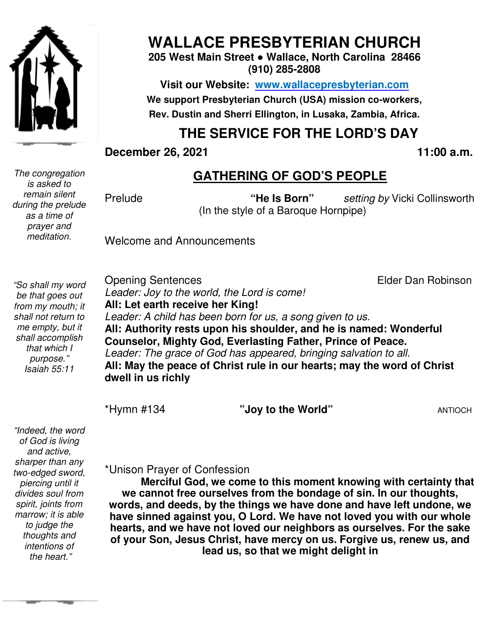

# **WALLACE PRESBYTERIAN CHURCH**

**205 West Main Street ● Wallace, North Carolina 28466 (910) 285-2808** 

**Visit our Website: www.wallacepresbyterian.com** We support Presbyterian Church (USA) mission co-workers, Rev. Dustin and Sherri Ellington, in Lusaka, Zambia, Africa.

## **THE SERVICE FOR THE LORD'S DAY**

**December 26, 2021** 

**, 2021 11:00 a.m .** 

*The congregation is asked to remain silent during the prelude as a time of prayer and meditation.* 

#### **GATHERING OF GOD'S PEOPLE**

**Prelude** 

 (In the style of a Baroque Hornpipe) **"He Is Born"** *setting by* Vicki Collinsworth Vicki Collinsworth<br>*er Dan Robinson* 

Welcome and Announcements

*"So shall my word be that goes out from my mouth; it shall not return to me empty, but it shall accomplish that which I purpose." Isaiah 55:11* 

Opening Sentences Leader: Joy to the world, the Lord is come! All: Let earth receive her King! Leader: A child has been born for us, a song given to us. **All: Authority rests upon his shoulder, and he is named: Wonderful**  All: Authority rests upon his shoulder, and he is named: Wo<br>Counselor, Mighty God, Everlasting Father, Prince of Peace. Leader: The grace of God has appeared, bringing salvation to all. All: May the peace of Christ rule in our hearts; may the word of Christ **dwell in us richly**  Elder Dan Robinson

\*Hymn #134

"Joy to the World" **ANTIOCH** 

 *intentions of "Indeed, the word of God is living and active, sharper than any two-edged sword, piercing until it divides soul from spirit, joints from marrow; it is able to judge the thoughts and the heart."* 

\*Unison Prayer of Confession

**Merciful God, we come to this moment knowing with certainty that we cannot free ourselves from the bondage of sin. In our thoughts, words, and deeds, by the things we have done and we words, and have left undone, we have sinned against you, O Lord. We have not loved you with our whole hearts, and we have not loved our neighbors as ourselves. For the sake of your Son, Jesus Christ, have mercy on us. Forgive us, renew us, and lead us, so that we mig** have sinned against you, O Lord. We have not loved you with our wl<br>hearts, and we have not loved our neighbors as ourselves. For the s<br>of your Son, Jesus Christ, have mercy on us. Forgive us, renew us,<br>lead us, so that we thority rests upon his shoulder, and he is named: Wonderful<br>elor, Mighty God, Everlasting Father, Prince of Peace.<br>
The grace of God has appeared, bringing salvation to all.<br>
y the peace of Christ rule in our hearts; may t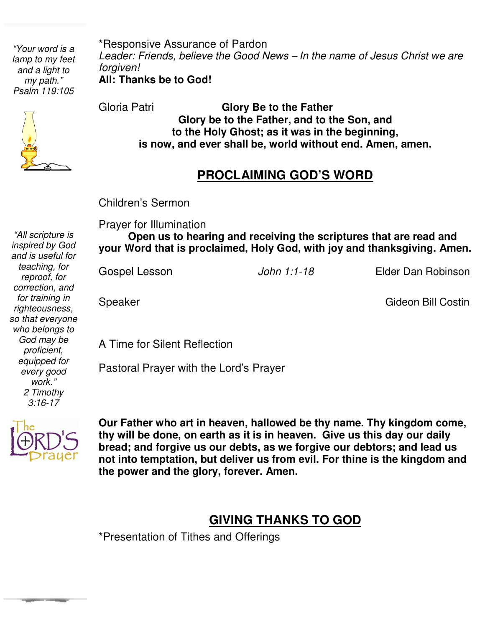*"Your word is a lamp to my feet and a light to my path." Psalm 119:105* 

\*Responsive Assurance of Pardon *Leader: Friends, believe the Good News* – *In the name of Jesus Christ we are forgiven!* **All: Thanks be to God!**



*"All scripture is*

Gloria Patri **Glory Be to the Father Glory be to the Father, and to the Son, and to the Holy Ghost; as it was in the beginning, is now, and ever shall be, world without end. Amen, amen.** 

#### **PROCLAIMING GOD'S WORD**

Children's Sermon

Prayer for Illumination

  **Open us to hearing and receiving the scriptures that are read and your Word that is proclaimed, Holy God, with joy and thanksgiving. Amen.** 

 $\overline{\phantom{0}}$ Ì

John 1:1-18 **Elder Dan Robinson** 

Speaker Gideon Bill Costin

A Time for Silent Reflection

Pastoral Prayer with the Lord's Prayer



Ĭ. **Our Father who art in heaven, hallowed be thy name. Thy kingdom come, thy will be done, on earth as it is in heaven. Give us this day our daily bread; and forgive us our debts, as we forgive our debtors; and lead us not into temptation, but deliver us from evil. For thine is the kingdom and the power and the glory, forever. Amen.**

## **GIVING THANKS TO GOD**

\*Presentation of Tithes and Offerings

 *for training in inspired by God and is useful for teaching, for reproof, for correction, and righteousness, so that everyone who belongs to God may be proficient, equipped for every good work." 2 Timothy 3:16-17*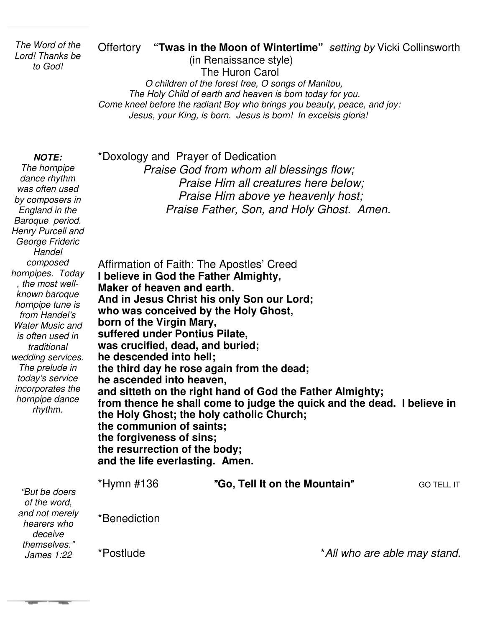*The Word of the Lord! Thanks be to God!* 

#### Offertory **"Twas in the Moon of Wintertime"** *setting by* Vicki Collinsworth

 (in Renaissance style) The Huron Carol *O children of the forest free, O songs of Manitou, The Holy Child of earth and heaven is born today for you. Come kneel before the radiant Boy who brings you beauty, peace, and joy: Jesus, your King, is born. Jesus is born! In excelsis gloria!*

#### **NOTE:**

*The hornpipe dance rhythm was often used by composers in England in the Baroque period. Henry Purcell and George Frideric Handel composed hornpipes. Today , the most wellknown baroque hornpipe tune is from Handel's Water Music and is often used in traditional wedding services. The prelude in today's service incorporates the hornpipe dance rhythm.*

*James 1:22* 

**Contract Contract** 

\*Doxology and Prayer of Dedication  *Praise God from whom all blessings flow; Praise Him all creatures here below; Praise Him above ye heavenly host; Praise Father, Son, and Holy Ghost. Amen.* 

Affirmation of Faith: The Apostles' Creed **I believe in God the Father Almighty, Maker of heaven and earth. And in Jesus Christ his only Son our Lord; who was conceived by the Holy Ghost, born of the Virgin Mary, suffered under Pontius Pilate, was crucified, dead, and buried; he descended into hell; the third day he rose again from the dead; he ascended into heaven, and sitteth on the right hand of God the Father Almighty; from thence he shall come to judge the quick and the dead. I believe in the Holy Ghost; the holy catholic Church; the communion of saints; the forgiveness of sins; the resurrection of the body; and the life everlasting. Amen.**  \*Hymn #136 "**Go, Tell It on the Mountain**"GO TELL IT \*Benediction *"But be doers of the word, and not merely hearers who deceive themselves."* 

\*Postlude \**All who are able may stand.*